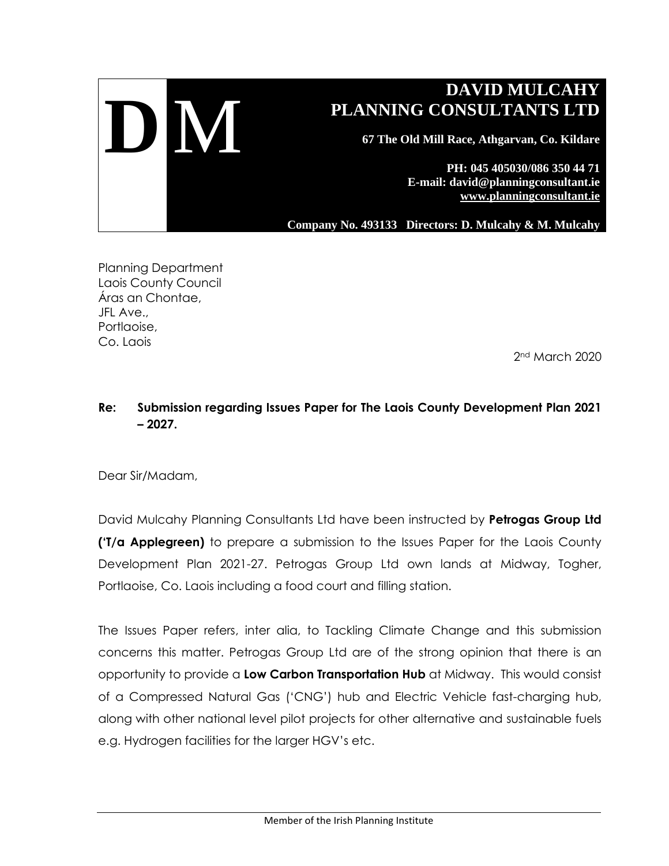

Planning Department Laois County Council Áras an Chontae, JFL Ave., Portlaoise, Co. Laois

2nd March 2020

## **Re: Submission regarding Issues Paper for The Laois County Development Plan 2021 – 2027.**

Dear Sir/Madam,

David Mulcahy Planning Consultants Ltd have been instructed by **Petrogas Group Ltd ('T/a Applegreen)** to prepare a submission to the Issues Paper for the Laois County Development Plan 2021-27. Petrogas Group Ltd own lands at Midway, Togher, Portlaoise, Co. Laois including a food court and filling station.

The Issues Paper refers, inter alia, to Tackling Climate Change and this submission concerns this matter. Petrogas Group Ltd are of the strong opinion that there is an opportunity to provide a **Low Carbon Transportation Hub** at Midway. This would consist of a Compressed Natural Gas ('CNG') hub and Electric Vehicle fast-charging hub, along with other national level pilot projects for other alternative and sustainable fuels e.g. Hydrogen facilities for the larger HGV's etc.